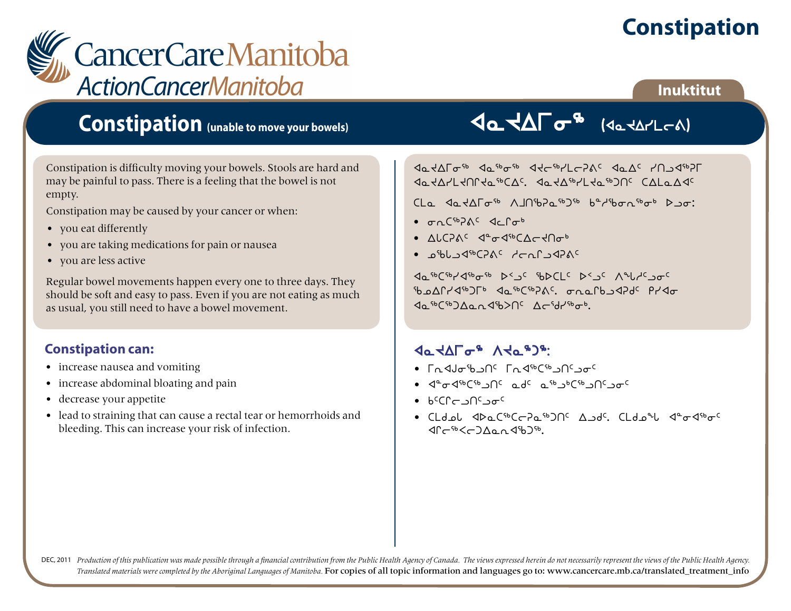# **Constipation**

**Inuktitut**

# CancerCareManitoba **ActionCancerManitoba**

### **Constipation (unable to move your bowels)**

Constipation is difficulty moving your bowels. Stools are hard and may be painful to pass. There is a feeling that the bowel is not empty.

Constipation may be caused by your cancer or when:

- you eat differently
- you are taking medications for pain or nausea
- you are less active

Regular bowel movements happen every one to three days. They should be soft and easy to pass. Even if you are not eating as much as usual, you still need to have a bowel movement.

#### **Constipation can:**

- increase nausea and vomiting
- increase abdominal bloating and pain
- decrease your appetite
- lead to straining that can cause a rectal tear or hemorrhoids and bleeding. This can increase your risk of infection.

## VaVAF G (JaVAPLCA)

xNJwui6 xN6i6 xJo6ymoDF5 xNw5 ytlx6Du  $x_0$  and  $x_0$  and  $x_0$  and  $x_0$  and  $x_0$  by  $x_0$  and  $x_0$ 

 $\lim_{h \to 0}$   $\lim_{h \to 0}$   $\lim_{h \to 0}$   $\lim_{h \to 0}$   $\lim_{h \to 0}$   $\lim_{h \to 0}$   $\lim_{h \to 0}$   $\lim_{h \to 0}$ 

- $\sigma_0$  $F^{b}$  $\Lambda$  $\epsilon$   $\sigma$  $\sigma$  $\sigma$  $\epsilon$
- ALCPAS Pade The CVCAUL
- $\cdot$   $\circ$ <sup>6</sup>bbc<sub>2</sub>4<sup>6</sup>C<sub>2</sub>A<sup>C</sup> drafec<sup>o</sup>

 $\Delta_0$  sb(sb) $\Delta_0$ sb bc  $\Delta_0$  sc sb bc c bc  $\Delta_0$  which  $\Delta_0$ b onryd<sup>6</sup> The do<sup>66</sup>C<sup>66</sup><sub>2</sub>n<sup>c</sup> chofb 3d<sub>2d</sub>c Pyd<sub>o</sub>  $\Delta_0$  sb(sb) $\Lambda_0$  o  $\Delta_0$ b $>$   $\Lambda_1$ cst $\Delta_2$  models

#### da KALG& VKG&J&:

- $\cdot$  Eq  $\triangleleft$ Jaib  $\cap$ <sup>C</sup> Eq  $\triangleleft$ <sup>56</sup>C<sup>56</sup>  $\cup$ O<sup>C</sup>  $\circ$ ac
- 4°<sub>0</sub></b>ل ماد ه<sup>ه</sup> ماد هاد های محمد است و است می
- $b^c$ C $c$  of  $c$  of  $c$
- bmfkZ xsNb6boDN6gt5 wlf5. bmfkz x8ix6i5  $40<sup>66</sup><sub>cm</sub>$

DEC, 2011 Production of this publication was made possible through a financial contribution from the Public Health Agency of Canada. The views expressed herein do not necessarily represent the views of the Public Health Ag *Translated materials were completed by the Aboriginal Languages of Manitoba.* For copies of all topic information and languages go to: www.cancercare.mb.ca/translated\_treatment\_info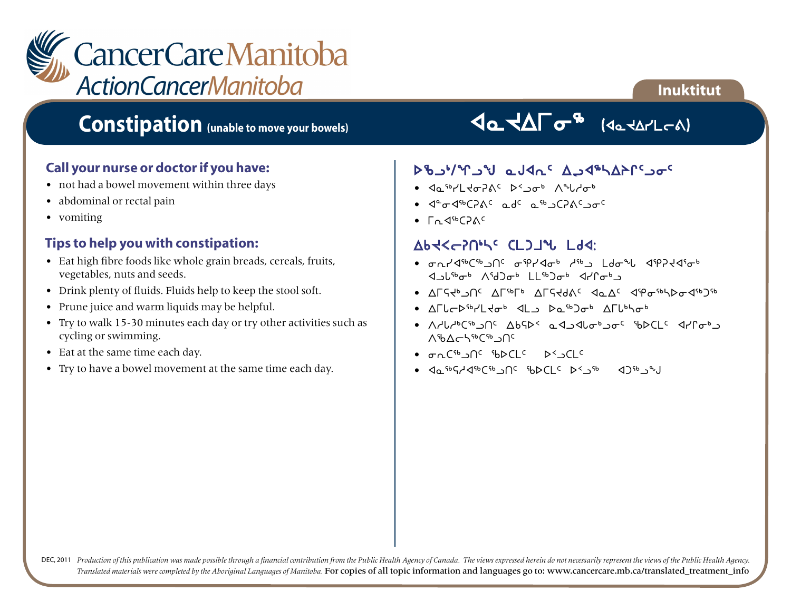

### **Constipation (unable to move your bowels)**

#### **Call your nurse or doctor if you have:**

- not had a bowel movement within three days
- abdominal or rectal pain
- vomiting

#### **Tips to help you with constipation:**

- Eat high fibre foods like whole grain breads, cereals, fruits, vegetables, nuts and seeds.
- Drink plenty of fluids. Fluids help to keep the stool soft.
- Prune juice and warm liquids may be helpful.
- Try to walk 15-30 minutes each day or try other activities such as cycling or swimming.
- Eat at the same time each day.
- Try to have a bowel movement at the same time each day.

### Bax Gatheral

**Inuktitut**

#### stable and the National Person of Care

- xN6ymJiDF5 s2li4 Wzhi4
- 4<sup>a</sup>od<sup>6</sup>CPAC adc a<sup>sb</sup>aCPACaoc
- $\Gamma_0$   $\triangleleft$ <sup>56</sup> $\Gamma$ <sub>2</sub>A<sup>c</sup>

#### Abt< - 2014 CLDJ4 Ldd:

- *Julation*  $\alpha$  a metal design and the control of  $\alpha$ 1 Justot Asdlot LLst Jot 4100t
- $\Lambda \Gamma$ S $4^b$   $\Lambda$ C  $\Lambda$  $\Gamma$ <sub>3</sub> $\Gamma$ <sub>6</sub>  $\Lambda$ C  $\Lambda$ <sub>C</sub>  $\Lambda$ <sub>C</sub>  $\Lambda$ <sub>C</sub>  $\Lambda$ <sub>C</sub>  $\Lambda$ <sub>c</sub><sub>6</sub>  $\Lambda$ <sub>c</sub><sub>6</sub>  $\Lambda$ <sub>c</sub><sub>6</sub>  $\Lambda$ <sub>c</sub><sub>6</sub>  $\Lambda$ <sub>c</sub><sub>6</sub>  $\Lambda$ <sub>6</sub>  $\Lambda$ <sub>6</sub>  $\Lambda$ <sub>6</sub>  $\Lambda$ <sub>6</sub>  $\Lambda$ <sub>6</sub>  $\Lambda$ <sub>6</sub>  $\Lambda$ <sub>6</sub>  $\Lambda$ <sub>6</sub>  $\Lambda$ <sub>6</sub>  $\Lambda$ <sub>6</sub>  $\Lambda$ <sub>6</sub>
- $\Lambda$  $L$ <sub>C</sub> $\triangleright$ <sup>5</sup> $\cdot$ / $\downarrow$ <sub>d</sub> $\cdot$   $\downarrow$   $\downarrow$   $\downarrow$   $\downarrow$   $\downarrow$   $\downarrow$   $\downarrow$   $\downarrow$   $\downarrow$   $\downarrow$   $\downarrow$   $\downarrow$   $\downarrow$   $\downarrow$   $\downarrow$   $\downarrow$   $\downarrow$   $\downarrow$   $\downarrow$   $\downarrow$   $\downarrow$   $\downarrow$   $\downarrow$   $\downarrow$   $\downarrow$   $\downarrow$   $\downarrow$   $\downarrow$   $\downarrow$   $\downarrow$   $\$
- A الطلا<sup>4</sup> C<sup>4</sup> DC AbSp< a الحكم الع<sup>ه</sup> عن المحاكم العام المحاكم المحاكم المحاكم المحاكم المحاكم المحاكم المحاكم ال AshAchsbCsb<sub>3</sub>Nc
- $\sigma n C^{5b}$
- $40^{6}5^{2}4^{6}6^{6}$   $10^{6}$   $10^{6}$   $10^{6}$   $10^{6}$   $10^{6}$   $10^{6}$   $10^{6}$   $10^{6}$

DEC, 2011 Production of this publication was made possible through a financial contribution from the Public Health Agency of Canada. The views expressed herein do not necessarily represent the views of the Public Health Ag *Translated materials were completed by the Aboriginal Languages of Manitoba.* For copies of all topic information and languages go to: www.cancercare.mb.ca/translated\_treatment\_info